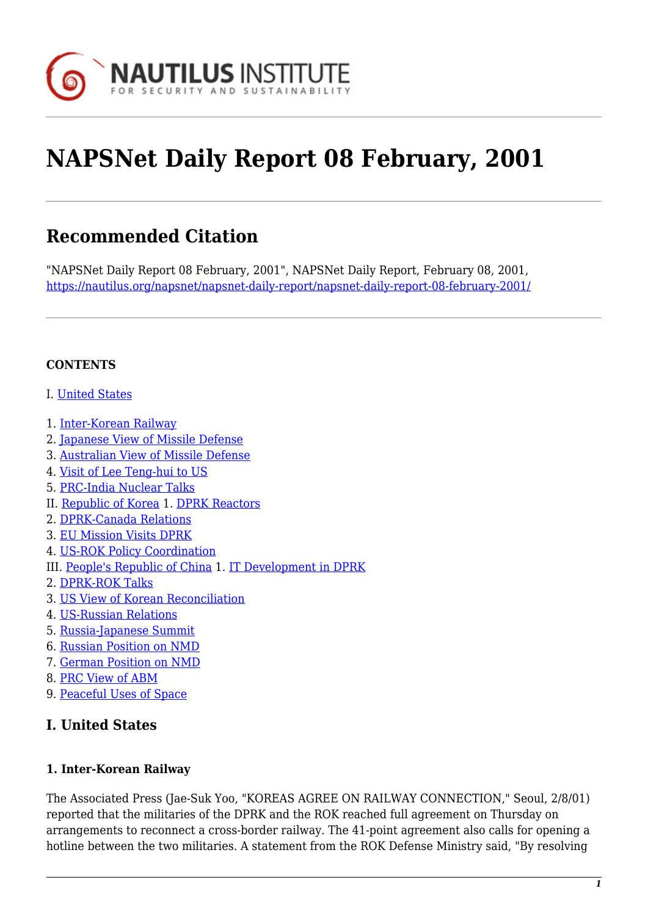

# **NAPSNet Daily Report 08 February, 2001**

# **Recommended Citation**

"NAPSNet Daily Report 08 February, 2001", NAPSNet Daily Report, February 08, 2001, <https://nautilus.org/napsnet/napsnet-daily-report/napsnet-daily-report-08-february-2001/>

#### **CONTENTS**

- I. [United States](#page-0-0)
- 1. [Inter-Korean Railway](#page-0-1)
- 2. [Japanese View of Missile Defense](#page-1-0)
- 3. [Australian View of Missile Defense](#page-1-1)
- 4. [Visit of Lee Teng-hui to US](#page-1-2)
- 5. [PRC-India Nuclear Talks](#page-2-0)
- II. [Republic of Korea](#page-2-1) 1. [DPRK Reactors](#page-2-2)
- 2. [DPRK-Canada Relations](#page-2-3)
- 3. [EU Mission Visits DPRK](#page-2-4)
- 4. [US-ROK Policy Coordination](#page-3-0)
- III. [People's Republic of China](#page-3-1) 1. [IT Development in DPRK](#page-3-2)
- 2. [DPRK-ROK Talks](#page-3-3)
- 3. [US View of Korean Reconciliation](#page-3-4)
- 4. [US-Russian Relations](#page-4-0)
- 5. [Russia-Japanese Summit](#page-4-1)
- 6. [Russian Position on NMD](#page-4-2)
- 7. [German Position on NMD](#page-4-3)
- 8. [PRC View of ABM](#page-5-0)
- <span id="page-0-0"></span>9. [Peaceful Uses of Space](#page-5-1)

#### **I. United States**

#### <span id="page-0-1"></span>**1. Inter-Korean Railway**

The Associated Press (Jae-Suk Yoo, "KOREAS AGREE ON RAILWAY CONNECTION," Seoul, 2/8/01) reported that the militaries of the DPRK and the ROK reached full agreement on Thursday on arrangements to reconnect a cross-border railway. The 41-point agreement also calls for opening a hotline between the two militaries. A statement from the ROK Defense Ministry said, "By resolving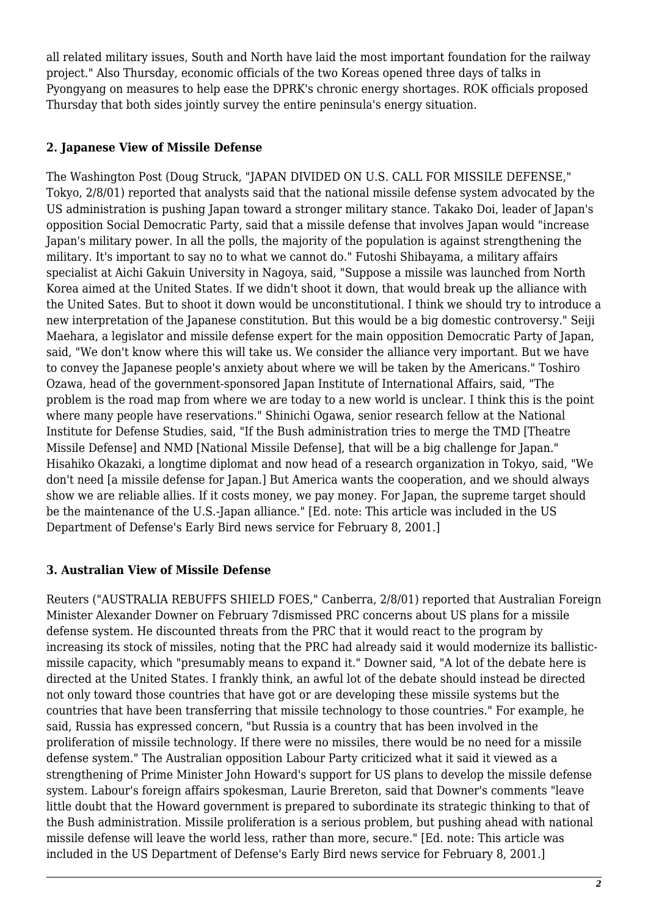all related military issues, South and North have laid the most important foundation for the railway project." Also Thursday, economic officials of the two Koreas opened three days of talks in Pyongyang on measures to help ease the DPRK's chronic energy shortages. ROK officials proposed Thursday that both sides jointly survey the entire peninsula's energy situation.

#### <span id="page-1-0"></span>**2. Japanese View of Missile Defense**

The Washington Post (Doug Struck, "JAPAN DIVIDED ON U.S. CALL FOR MISSILE DEFENSE," Tokyo, 2/8/01) reported that analysts said that the national missile defense system advocated by the US administration is pushing Japan toward a stronger military stance. Takako Doi, leader of Japan's opposition Social Democratic Party, said that a missile defense that involves Japan would "increase Japan's military power. In all the polls, the majority of the population is against strengthening the military. It's important to say no to what we cannot do." Futoshi Shibayama, a military affairs specialist at Aichi Gakuin University in Nagoya, said, "Suppose a missile was launched from North Korea aimed at the United States. If we didn't shoot it down, that would break up the alliance with the United Sates. But to shoot it down would be unconstitutional. I think we should try to introduce a new interpretation of the Japanese constitution. But this would be a big domestic controversy." Seiji Maehara, a legislator and missile defense expert for the main opposition Democratic Party of Japan, said, "We don't know where this will take us. We consider the alliance very important. But we have to convey the Japanese people's anxiety about where we will be taken by the Americans." Toshiro Ozawa, head of the government-sponsored Japan Institute of International Affairs, said, "The problem is the road map from where we are today to a new world is unclear. I think this is the point where many people have reservations." Shinichi Ogawa, senior research fellow at the National Institute for Defense Studies, said, "If the Bush administration tries to merge the TMD [Theatre Missile Defense] and NMD [National Missile Defense], that will be a big challenge for Japan." Hisahiko Okazaki, a longtime diplomat and now head of a research organization in Tokyo, said, "We don't need [a missile defense for Japan.] But America wants the cooperation, and we should always show we are reliable allies. If it costs money, we pay money. For Japan, the supreme target should be the maintenance of the U.S.-Japan alliance." [Ed. note: This article was included in the US Department of Defense's Early Bird news service for February 8, 2001.]

#### <span id="page-1-1"></span>**3. Australian View of Missile Defense**

<span id="page-1-2"></span>Reuters ("AUSTRALIA REBUFFS SHIELD FOES," Canberra, 2/8/01) reported that Australian Foreign Minister Alexander Downer on February 7dismissed PRC concerns about US plans for a missile defense system. He discounted threats from the PRC that it would react to the program by increasing its stock of missiles, noting that the PRC had already said it would modernize its ballisticmissile capacity, which "presumably means to expand it." Downer said, "A lot of the debate here is directed at the United States. I frankly think, an awful lot of the debate should instead be directed not only toward those countries that have got or are developing these missile systems but the countries that have been transferring that missile technology to those countries." For example, he said, Russia has expressed concern, "but Russia is a country that has been involved in the proliferation of missile technology. If there were no missiles, there would be no need for a missile defense system." The Australian opposition Labour Party criticized what it said it viewed as a strengthening of Prime Minister John Howard's support for US plans to develop the missile defense system. Labour's foreign affairs spokesman, Laurie Brereton, said that Downer's comments "leave little doubt that the Howard government is prepared to subordinate its strategic thinking to that of the Bush administration. Missile proliferation is a serious problem, but pushing ahead with national missile defense will leave the world less, rather than more, secure." [Ed. note: This article was included in the US Department of Defense's Early Bird news service for February 8, 2001.]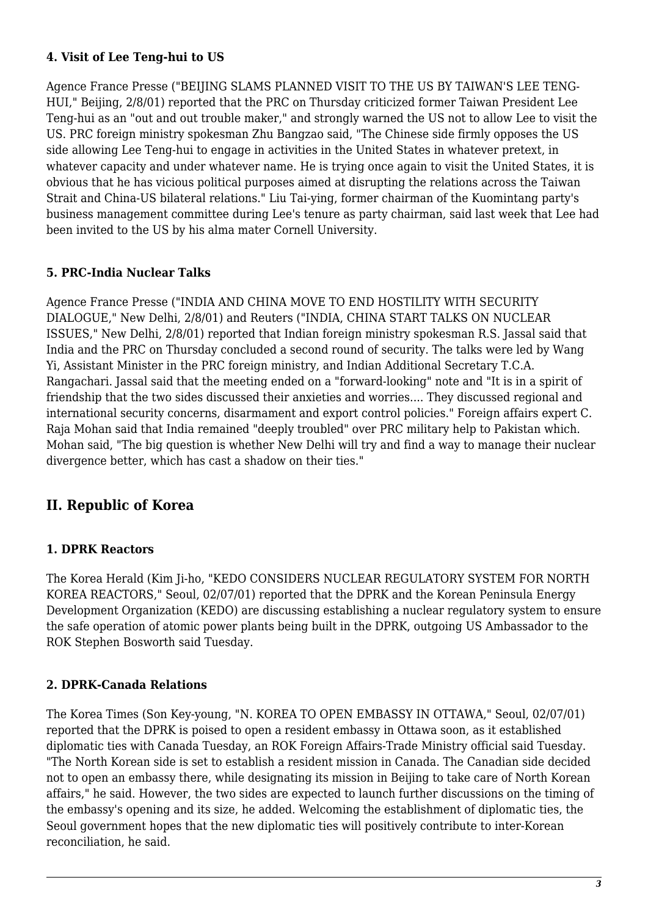#### **4. Visit of Lee Teng-hui to US**

Agence France Presse ("BEIJING SLAMS PLANNED VISIT TO THE US BY TAIWAN'S LEE TENG-HUI," Beijing, 2/8/01) reported that the PRC on Thursday criticized former Taiwan President Lee Teng-hui as an "out and out trouble maker," and strongly warned the US not to allow Lee to visit the US. PRC foreign ministry spokesman Zhu Bangzao said, "The Chinese side firmly opposes the US side allowing Lee Teng-hui to engage in activities in the United States in whatever pretext, in whatever capacity and under whatever name. He is trying once again to visit the United States, it is obvious that he has vicious political purposes aimed at disrupting the relations across the Taiwan Strait and China-US bilateral relations." Liu Tai-ying, former chairman of the Kuomintang party's business management committee during Lee's tenure as party chairman, said last week that Lee had been invited to the US by his alma mater Cornell University.

#### <span id="page-2-0"></span>**5. PRC-India Nuclear Talks**

Agence France Presse ("INDIA AND CHINA MOVE TO END HOSTILITY WITH SECURITY DIALOGUE," New Delhi, 2/8/01) and Reuters ("INDIA, CHINA START TALKS ON NUCLEAR ISSUES," New Delhi, 2/8/01) reported that Indian foreign ministry spokesman R.S. Jassal said that India and the PRC on Thursday concluded a second round of security. The talks were led by Wang Yi, Assistant Minister in the PRC foreign ministry, and Indian Additional Secretary T.C.A. Rangachari. Jassal said that the meeting ended on a "forward-looking" note and "It is in a spirit of friendship that the two sides discussed their anxieties and worries.... They discussed regional and international security concerns, disarmament and export control policies." Foreign affairs expert C. Raja Mohan said that India remained "deeply troubled" over PRC military help to Pakistan which. Mohan said, "The big question is whether New Delhi will try and find a way to manage their nuclear divergence better, which has cast a shadow on their ties."

### <span id="page-2-1"></span>**II. Republic of Korea**

#### <span id="page-2-2"></span>**1. DPRK Reactors**

The Korea Herald (Kim Ji-ho, "KEDO CONSIDERS NUCLEAR REGULATORY SYSTEM FOR NORTH KOREA REACTORS," Seoul, 02/07/01) reported that the DPRK and the Korean Peninsula Energy Development Organization (KEDO) are discussing establishing a nuclear regulatory system to ensure the safe operation of atomic power plants being built in the DPRK, outgoing US Ambassador to the ROK Stephen Bosworth said Tuesday.

#### <span id="page-2-3"></span>**2. DPRK-Canada Relations**

<span id="page-2-4"></span>The Korea Times (Son Key-young, "N. KOREA TO OPEN EMBASSY IN OTTAWA," Seoul, 02/07/01) reported that the DPRK is poised to open a resident embassy in Ottawa soon, as it established diplomatic ties with Canada Tuesday, an ROK Foreign Affairs-Trade Ministry official said Tuesday. "The North Korean side is set to establish a resident mission in Canada. The Canadian side decided not to open an embassy there, while designating its mission in Beijing to take care of North Korean affairs," he said. However, the two sides are expected to launch further discussions on the timing of the embassy's opening and its size, he added. Welcoming the establishment of diplomatic ties, the Seoul government hopes that the new diplomatic ties will positively contribute to inter-Korean reconciliation, he said.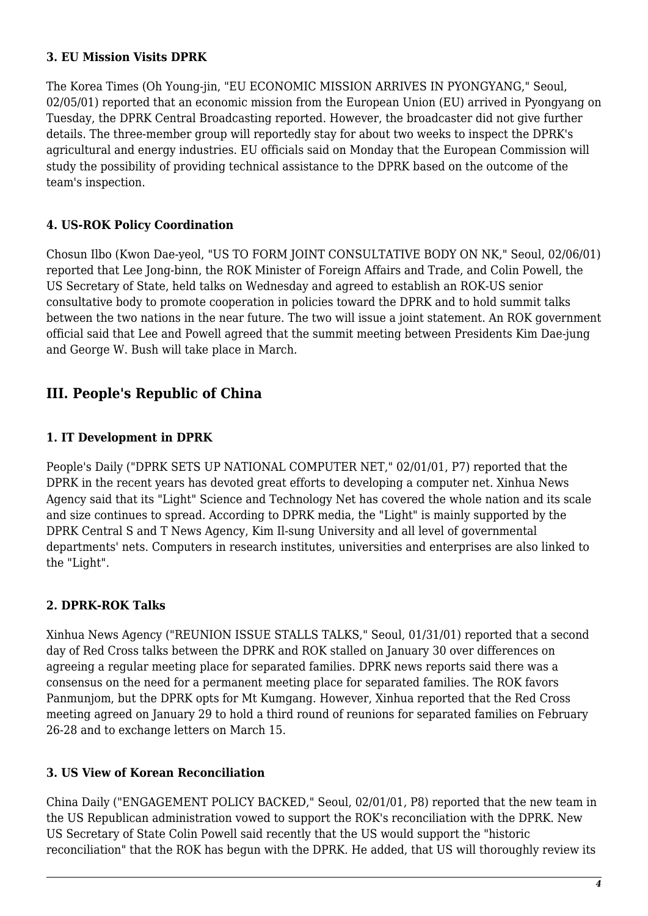#### **3. EU Mission Visits DPRK**

The Korea Times (Oh Young-jin, "EU ECONOMIC MISSION ARRIVES IN PYONGYANG," Seoul, 02/05/01) reported that an economic mission from the European Union (EU) arrived in Pyongyang on Tuesday, the DPRK Central Broadcasting reported. However, the broadcaster did not give further details. The three-member group will reportedly stay for about two weeks to inspect the DPRK's agricultural and energy industries. EU officials said on Monday that the European Commission will study the possibility of providing technical assistance to the DPRK based on the outcome of the team's inspection.

#### <span id="page-3-0"></span>**4. US-ROK Policy Coordination**

Chosun Ilbo (Kwon Dae-yeol, "US TO FORM JOINT CONSULTATIVE BODY ON NK," Seoul, 02/06/01) reported that Lee Jong-binn, the ROK Minister of Foreign Affairs and Trade, and Colin Powell, the US Secretary of State, held talks on Wednesday and agreed to establish an ROK-US senior consultative body to promote cooperation in policies toward the DPRK and to hold summit talks between the two nations in the near future. The two will issue a joint statement. An ROK government official said that Lee and Powell agreed that the summit meeting between Presidents Kim Dae-jung and George W. Bush will take place in March.

## <span id="page-3-1"></span>**III. People's Republic of China**

#### <span id="page-3-2"></span>**1. IT Development in DPRK**

People's Daily ("DPRK SETS UP NATIONAL COMPUTER NET," 02/01/01, P7) reported that the DPRK in the recent years has devoted great efforts to developing a computer net. Xinhua News Agency said that its "Light" Science and Technology Net has covered the whole nation and its scale and size continues to spread. According to DPRK media, the "Light" is mainly supported by the DPRK Central S and T News Agency, Kim Il-sung University and all level of governmental departments' nets. Computers in research institutes, universities and enterprises are also linked to the "Light".

#### <span id="page-3-3"></span>**2. DPRK-ROK Talks**

Xinhua News Agency ("REUNION ISSUE STALLS TALKS," Seoul, 01/31/01) reported that a second day of Red Cross talks between the DPRK and ROK stalled on January 30 over differences on agreeing a regular meeting place for separated families. DPRK news reports said there was a consensus on the need for a permanent meeting place for separated families. The ROK favors Panmunjom, but the DPRK opts for Mt Kumgang. However, Xinhua reported that the Red Cross meeting agreed on January 29 to hold a third round of reunions for separated families on February 26-28 and to exchange letters on March 15.

#### <span id="page-3-4"></span>**3. US View of Korean Reconciliation**

China Daily ("ENGAGEMENT POLICY BACKED," Seoul, 02/01/01, P8) reported that the new team in the US Republican administration vowed to support the ROK's reconciliation with the DPRK. New US Secretary of State Colin Powell said recently that the US would support the "historic reconciliation" that the ROK has begun with the DPRK. He added, that US will thoroughly review its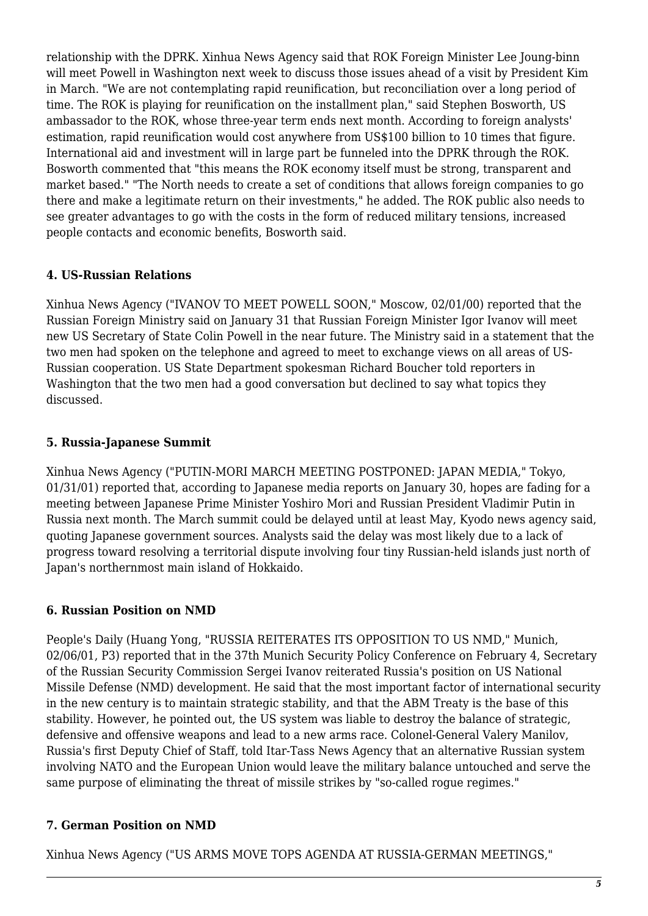relationship with the DPRK. Xinhua News Agency said that ROK Foreign Minister Lee Joung-binn will meet Powell in Washington next week to discuss those issues ahead of a visit by President Kim in March. "We are not contemplating rapid reunification, but reconciliation over a long period of time. The ROK is playing for reunification on the installment plan," said Stephen Bosworth, US ambassador to the ROK, whose three-year term ends next month. According to foreign analysts' estimation, rapid reunification would cost anywhere from US\$100 billion to 10 times that figure. International aid and investment will in large part be funneled into the DPRK through the ROK. Bosworth commented that "this means the ROK economy itself must be strong, transparent and market based." "The North needs to create a set of conditions that allows foreign companies to go there and make a legitimate return on their investments," he added. The ROK public also needs to see greater advantages to go with the costs in the form of reduced military tensions, increased people contacts and economic benefits, Bosworth said.

#### <span id="page-4-0"></span>**4. US-Russian Relations**

Xinhua News Agency ("IVANOV TO MEET POWELL SOON," Moscow, 02/01/00) reported that the Russian Foreign Ministry said on January 31 that Russian Foreign Minister Igor Ivanov will meet new US Secretary of State Colin Powell in the near future. The Ministry said in a statement that the two men had spoken on the telephone and agreed to meet to exchange views on all areas of US-Russian cooperation. US State Department spokesman Richard Boucher told reporters in Washington that the two men had a good conversation but declined to say what topics they discussed.

#### <span id="page-4-1"></span>**5. Russia-Japanese Summit**

Xinhua News Agency ("PUTIN-MORI MARCH MEETING POSTPONED: JAPAN MEDIA," Tokyo, 01/31/01) reported that, according to Japanese media reports on January 30, hopes are fading for a meeting between Japanese Prime Minister Yoshiro Mori and Russian President Vladimir Putin in Russia next month. The March summit could be delayed until at least May, Kyodo news agency said, quoting Japanese government sources. Analysts said the delay was most likely due to a lack of progress toward resolving a territorial dispute involving four tiny Russian-held islands just north of Japan's northernmost main island of Hokkaido.

#### <span id="page-4-2"></span>**6. Russian Position on NMD**

People's Daily (Huang Yong, "RUSSIA REITERATES ITS OPPOSITION TO US NMD," Munich, 02/06/01, P3) reported that in the 37th Munich Security Policy Conference on February 4, Secretary of the Russian Security Commission Sergei Ivanov reiterated Russia's position on US National Missile Defense (NMD) development. He said that the most important factor of international security in the new century is to maintain strategic stability, and that the ABM Treaty is the base of this stability. However, he pointed out, the US system was liable to destroy the balance of strategic, defensive and offensive weapons and lead to a new arms race. Colonel-General Valery Manilov, Russia's first Deputy Chief of Staff, told Itar-Tass News Agency that an alternative Russian system involving NATO and the European Union would leave the military balance untouched and serve the same purpose of eliminating the threat of missile strikes by "so-called rogue regimes."

#### <span id="page-4-3"></span>**7. German Position on NMD**

Xinhua News Agency ("US ARMS MOVE TOPS AGENDA AT RUSSIA-GERMAN MEETINGS,"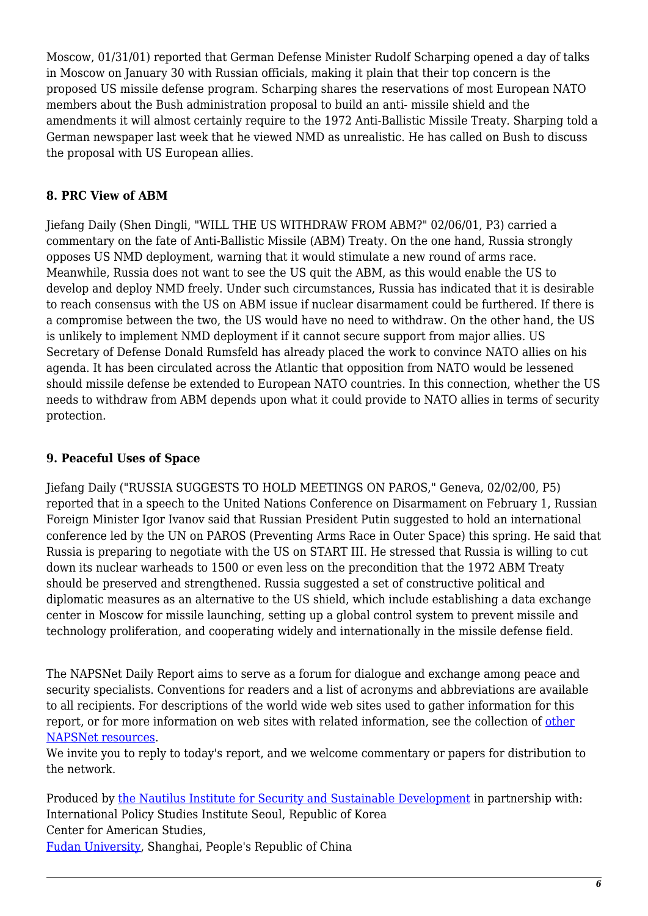Moscow, 01/31/01) reported that German Defense Minister Rudolf Scharping opened a day of talks in Moscow on January 30 with Russian officials, making it plain that their top concern is the proposed US missile defense program. Scharping shares the reservations of most European NATO members about the Bush administration proposal to build an anti- missile shield and the amendments it will almost certainly require to the 1972 Anti-Ballistic Missile Treaty. Sharping told a German newspaper last week that he viewed NMD as unrealistic. He has called on Bush to discuss the proposal with US European allies.

#### <span id="page-5-0"></span>**8. PRC View of ABM**

Jiefang Daily (Shen Dingli, "WILL THE US WITHDRAW FROM ABM?" 02/06/01, P3) carried a commentary on the fate of Anti-Ballistic Missile (ABM) Treaty. On the one hand, Russia strongly opposes US NMD deployment, warning that it would stimulate a new round of arms race. Meanwhile, Russia does not want to see the US quit the ABM, as this would enable the US to develop and deploy NMD freely. Under such circumstances, Russia has indicated that it is desirable to reach consensus with the US on ABM issue if nuclear disarmament could be furthered. If there is a compromise between the two, the US would have no need to withdraw. On the other hand, the US is unlikely to implement NMD deployment if it cannot secure support from major allies. US Secretary of Defense Donald Rumsfeld has already placed the work to convince NATO allies on his agenda. It has been circulated across the Atlantic that opposition from NATO would be lessened should missile defense be extended to European NATO countries. In this connection, whether the US needs to withdraw from ABM depends upon what it could provide to NATO allies in terms of security protection.

#### <span id="page-5-1"></span>**9. Peaceful Uses of Space**

Jiefang Daily ("RUSSIA SUGGESTS TO HOLD MEETINGS ON PAROS," Geneva, 02/02/00, P5) reported that in a speech to the United Nations Conference on Disarmament on February 1, Russian Foreign Minister Igor Ivanov said that Russian President Putin suggested to hold an international conference led by the UN on PAROS (Preventing Arms Race in Outer Space) this spring. He said that Russia is preparing to negotiate with the US on START III. He stressed that Russia is willing to cut down its nuclear warheads to 1500 or even less on the precondition that the 1972 ABM Treaty should be preserved and strengthened. Russia suggested a set of constructive political and diplomatic measures as an alternative to the US shield, which include establishing a data exchange center in Moscow for missile launching, setting up a global control system to prevent missile and technology proliferation, and cooperating widely and internationally in the missile defense field.

The NAPSNet Daily Report aims to serve as a forum for dialogue and exchange among peace and security specialists. Conventions for readers and a list of acronyms and abbreviations are available to all recipients. For descriptions of the world wide web sites used to gather information for this report, or for more information on web sites with related information, see the collection of [other](http://nautilus.org/kiosk/weblinks.html) [NAPSNet resources.](http://nautilus.org/kiosk/weblinks.html)

We invite you to reply to today's report, and we welcome commentary or papers for distribution to the network.

Produced by [the Nautilus Institute for Security and Sustainable Development](http://nautilus.org/admin/about.html) in partnership with: International Policy Studies Institute Seoul, Republic of Korea Center for American Studies, [Fudan University](http://www.fudan.edu.cn/English/nsindex.html), Shanghai, People's Republic of China